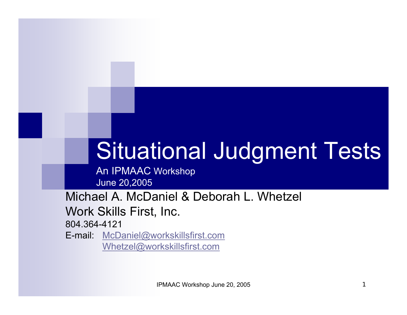# Situational Judgment Tests

An IPMAAC Workshop June 20,2005

Michael A. McDaniel & Deborah L. Whetzel Work Skills First, Inc.

804.364-4121

E-mail: [McDaniel@workskillsfirst.com](mailto:McDaniel@workskillsfirst.com) [Whetzel@workskillsfirst.com](mailto:Whetzel@workskillsfirst.com)

IPMAAC Workshop June 20, 2005 1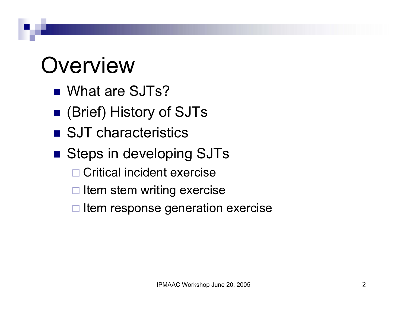## **Overview**

- What are SJTs?
- (Brief) History of SJTs
- SJT characteristics
- Steps in developing SJTs
	- □ Critical incident exercise
	- $\Box$ Item stem writing exercise
	- $\square$  Item response generation exercise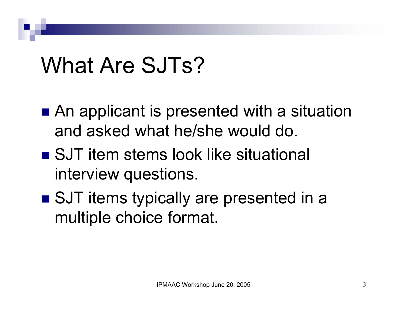## What Are SJTs?

- An applicant is presented with a situation and asked what he/she would do.
- SJT item stems look like situational interview questions.
- SJT items typically are presented in a multiple choice format.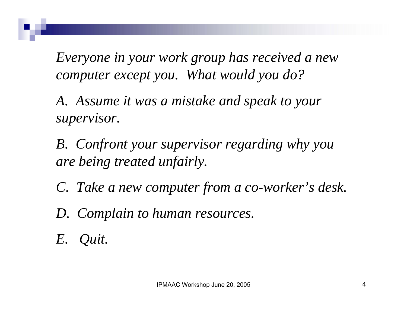*Everyone in your work group has received a new computer except you. What would you do?*

*A. Assume it was a mistake and speak to your supervisor.*

*B. Confront your supervisor regarding why you are being treated unfairly.*

*C. Take a new computer from a co-worker's desk.*

*D. Complain to human resources.*

*E. Quit.*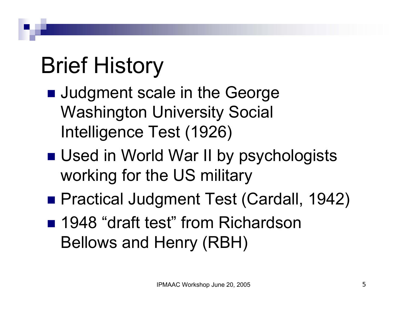# Brief History

- **Judgment scale in the George** Washington University Social Intelligence Test (1926)
- Used in World War II by psychologists working for the US military
- Practical Judgment Test (Cardall, 1942)
- 1948 "draft test" from Richardson Bellows and Henry (RBH)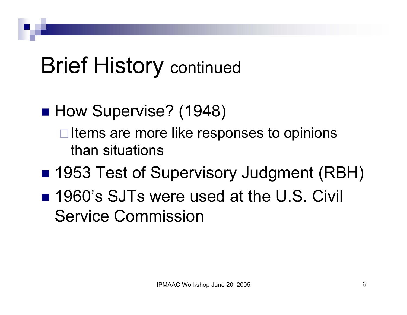#### ■ How Supervise? (1948)

 $\Box$  Items are more like responses to opinions than situations

- 1953 Test of Supervisory Judgment (RBH)
- 1960's SJTs were used at the U.S. Civil Service Commission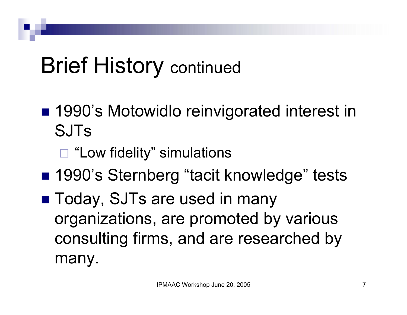- 1990's Motowidlo reinvigorated interest in SJTs
	- □ "Low fidelity" simulations
- 1990's Sternberg "tacit knowledge" tests
- Today, SJTs are used in many organizations, are promoted by various consulting firms, and are researched by many.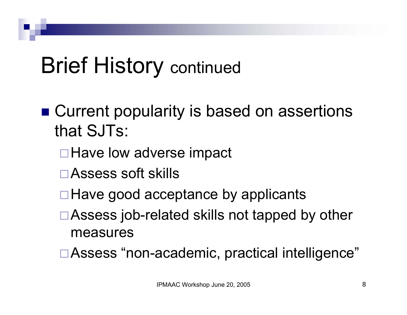- Current popularity is based on assertions that SJTs:
	- **□ Have low adverse impact**
	- Assess soft skills
	- $\Box$  Have good acceptance by applicants
	- □ Assess job-related skills not tapped by other measures
	- □ Assess "non-academic, practical intelligence"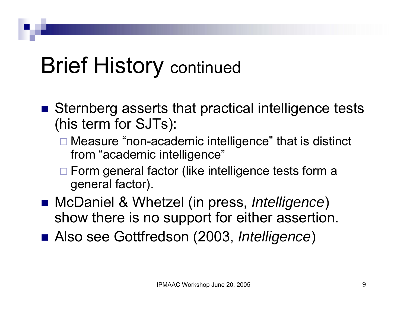- Sternberg asserts that practical intelligence tests (his term for SJTs):
	- □ Measure "non-academic intelligence" that is distinct from "academic intelligence"
	- □ Form general factor (like intelligence tests form a general factor).
- McDaniel & Whetzel (in press, *Intelligence*) show there is no support for either assertion.
- Also see Gottfredson (2003, *Intelligence*)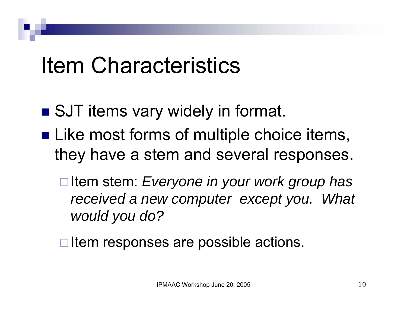- SJT items vary widely in format.
- **Like most forms of multiple choice items,** they have a stem and several responses.
	- □ Item stem: *Everyone in your work group has received a new computer except you. What would you do?*
	- $\square$  Item responses are possible actions.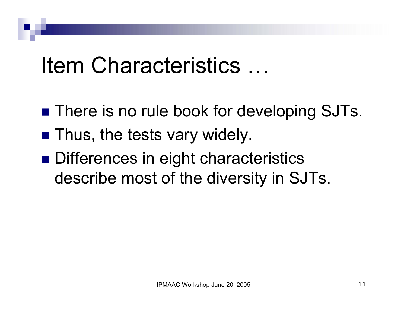- **There is no rule book for developing SJTs.**
- **Thus, the tests vary widely.**
- Differences in eight characteristics describe most of the diversity in SJTs.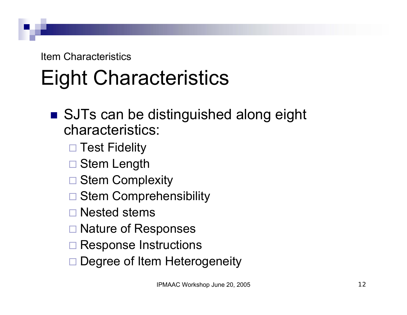## Eight Characteristics

#### ■ SJTs can be distinguished along eight characteristics:

- □ Test Fidelity
- $\Box$ Stem Length
- □ Stem Complexity
- □ Stem Comprehensibility
- □ Nested stems
- □ Nature of Responses
- **□ Response Instructions**
- □ Degree of Item Heterogeneity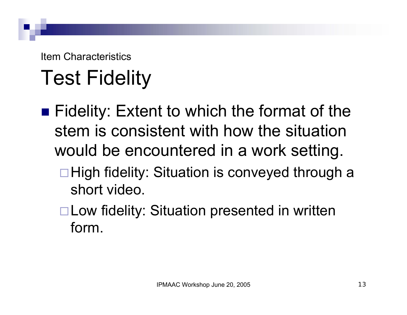## Test Fidelity

■ Fidelity: Extent to which the format of the stem is consistent with how the situation would be encountered in a work setting. □ High fidelity: Situation is conveyed through a short video.

□ Low fidelity: Situation presented in written form.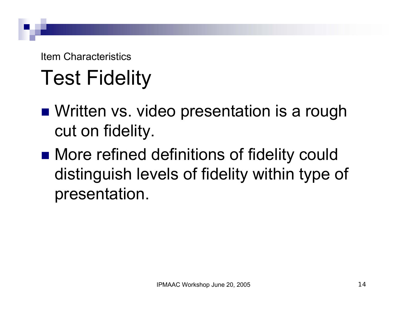### Test Fidelity

- Written vs. video presentation is a rough cut on fidelity.
- More refined definitions of fidelity could distinguish levels of fidelity within type of presentation.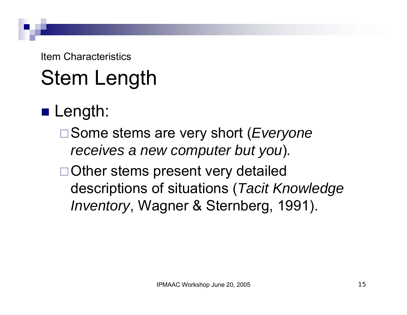## Stem Length

#### ■ Length:

- Some stems are very short (*Everyone receives a new computer but you*)*.*
- □ Other stems present very detailed descriptions of situations (*Tacit Knowledge Inventory*, Wagner & Sternberg, 1991).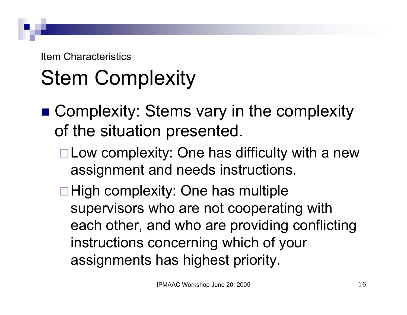## Stem Complexity

- Complexity: Stems vary in the complexity of the situation presented.
	- $\Box$  Low complexity: One has difficulty with a new assignment and needs instructions.
	- $\Box$  High complexity: One has multiple supervisors who are not cooperating with each other, and who are providing conflicting instructions concerning which of your assignments has highest priority.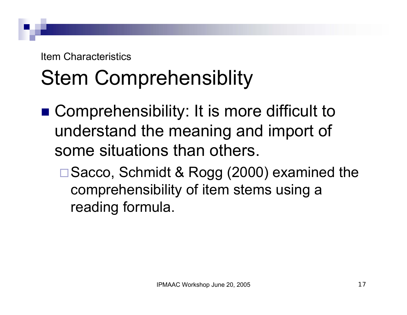#### Stem Comprehensiblity

- Comprehensibility: It is more difficult to understand the meaning and import of some situations than others.
	- □ Sacco, Schmidt & Rogg (2000) examined the comprehensibility of item stems using a reading formula.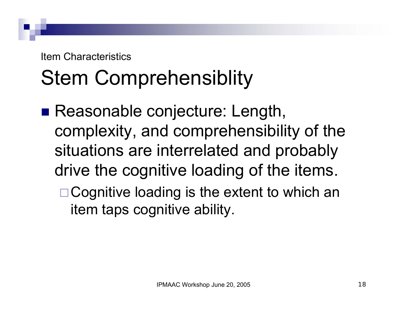### Stem Comprehensiblity

- Reasonable conjecture: Length, complexity, and comprehensibility of the situations are interrelated and probably drive the cognitive loading of the items.
	- □ Cognitive loading is the extent to which an item taps cognitive ability.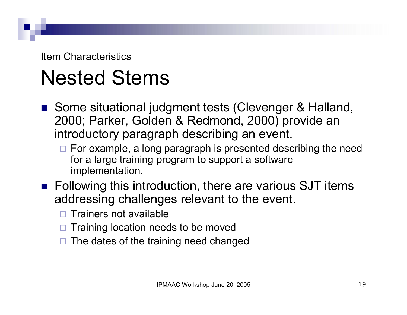#### Nested Stems

- Some situational judgment tests (Clevenger & Halland, 2000; Parker, Golden & Redmond, 2000) provide an introductory paragraph describing an event.
	- $\Box$  For example, a long paragraph is presented describing the need for a large training program to support a software implementation.
- Following this introduction, there are various SJT items addressing challenges relevant to the event.
	- $\Box$ Trainers not available
	- $\Box$ Training location needs to be moved
	- □ The dates of the training need changed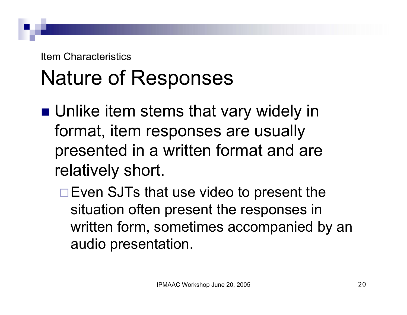#### Nature of Responses

- Unlike item stems that vary widely in format, item responses are usually presented in a written format and are relatively short.
	- □ Even SJTs that use video to present the situation often present the responses in written form, sometimes accompanied by an audio presentation.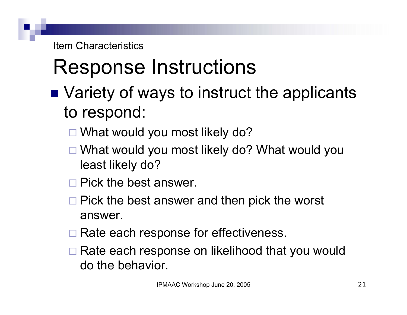- Variety of ways to instruct the applicants to respond:
	- □ What would you most likely do?
	- What would you most likely do? What would you least likely do?
	- $\square$  Pick the best answer.
	- $\square$  Pick the best answer and then pick the worst answer.
	- □ Rate each response for effectiveness.
	- □ Rate each response on likelihood that you would do the behavior.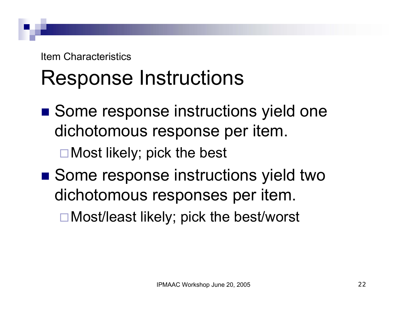#### Response Instructions

■ Some response instructions yield one dichotomous response per item.

□ Most likely; pick the best

■ Some response instructions yield two dichotomous responses per item.

Most/least likely; pick the best/worst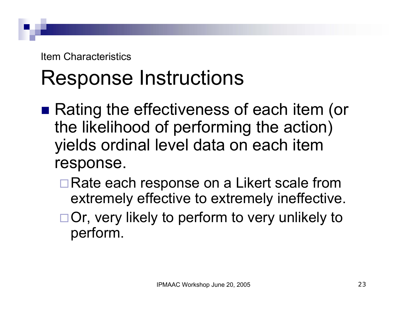- Rating the effectiveness of each item (or the likelihood of performing the action) yields ordinal level data on each item response.
	- □ Rate each response on a Likert scale from extremely effective to extremely ineffective.
	- □ Or, very likely to perform to very unlikely to perform.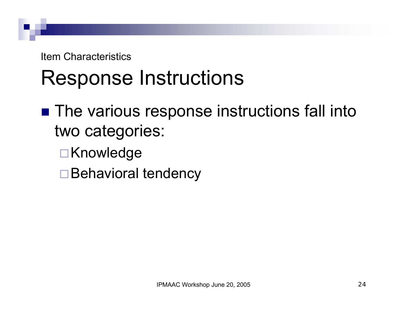- The various response instructions fall into two categories:
	- **□Knowledge**
	- □ Behavioral tendency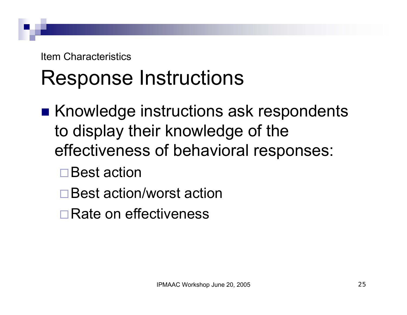- Knowledge instructions ask respondents to display their knowledge of the effectiveness of behavioral responses:
	- **□Best action**
	- Best action/worst action
	- **□ Rate on effectiveness**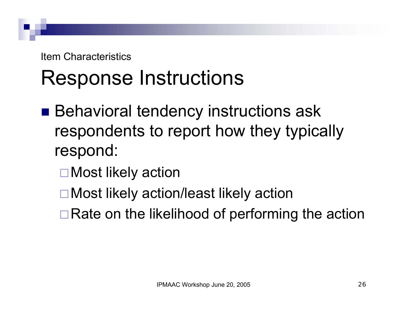- Behavioral tendency instructions ask respondents to report how they typically respond:
	- □ Most likely action
	- □ Most likely action/least likely action
	- $\Box$  Rate on the likelihood of performing the action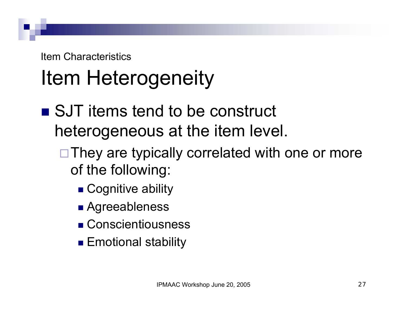## Item Heterogeneity

- SJT items tend to be construct heterogeneous at the item level.
	- $\Box$  They are typically correlated with one or more of the following:
		- Cognitive ability
		- Agreeableness
		- Conscientiousness
		- Emotional stability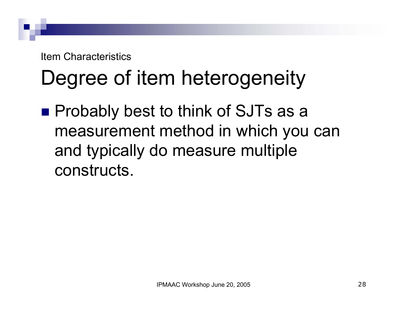#### Degree of item heterogeneity

■ Probably best to think of SJTs as a measurement method in which you can and typically do measure multiple constructs.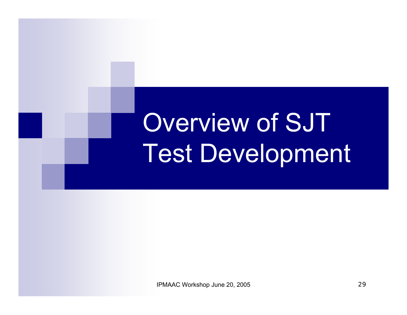# Overview of SJT Test Development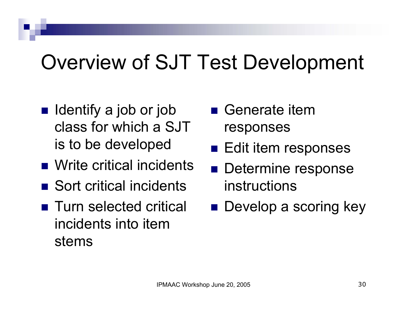#### Overview of SJT Test Development

- Identify a job or job class for which a SJT is to be developed
- Write critical incidents
- Sort critical incidents
- Turn selected critical incidents into item stems
- Generate item responses
- **Edit item responses**
- **Determine response** instructions
- **Develop a scoring key**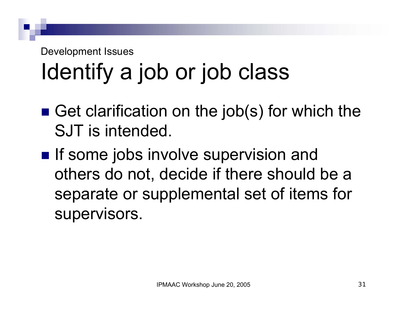# Identify a job or job class

- Get clarification on the job(s) for which the SJT is intended.
- **If some jobs involve supervision and** others do not, decide if there should be a separate or supplemental set of items for supervisors.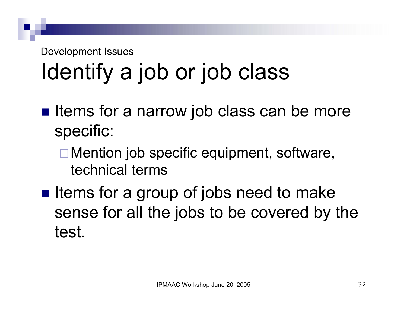# Identify a job or job class

- **If I** Items for a narrow job class can be more specific:
	- Mention job specific equipment, software, technical terms
- **Iftems for a group of jobs need to make** sense for all the jobs to be covered by the test.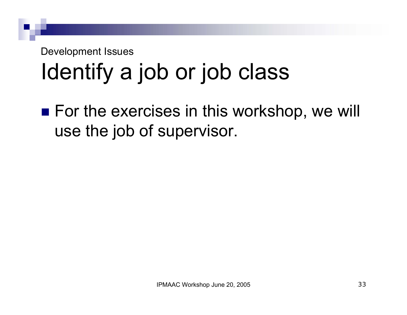# Identify a job or job class

■ For the exercises in this workshop, we will use the job of supervisor.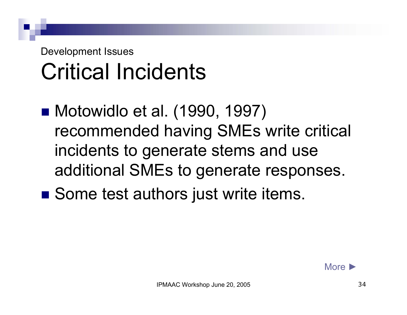#### Development Issues Critical Incidents

- Motowidlo et al. (1990, 1997) recommended having SMEs write critical incidents to generate stems and use additional SMEs to generate responses.
- Some test authors just write items.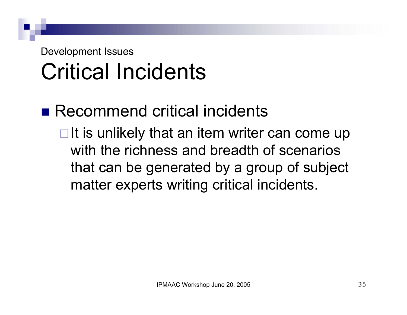#### Development Issues Critical Incidents

- Recommend critical incidents
	- $\Box$  It is unlikely that an item writer can come up with the richness and breadth of scenarios that can be generated by a group of subject matter experts writing critical incidents.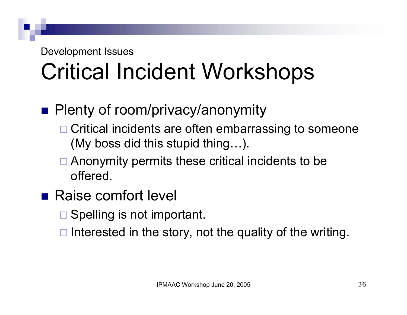# Critical Incident Workshops

#### **Plenty of room/privacy/anonymity**

- □ Critical incidents are often embarrassing to someone (My boss did this stupid thing…).
- **□ Anonymity permits these critical incidents to be** offered.
- Raise comfort level
	- □ Spelling is not important.
	- $\Box$  Interested in the story, not the quality of the writing.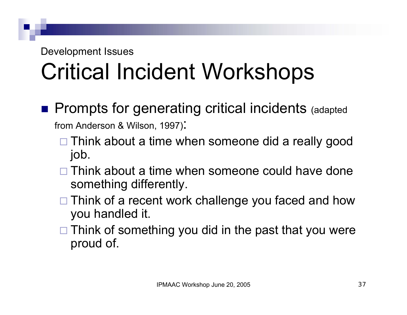# Critical Incident Workshops

**Prompts for generating critical incidents (adapted** 

from Anderson & Wilson, 1997):

- □ Think about a time when someone did a really good job.
- $\square$  Think about a time when someone could have done something differently.
- □ Think of a recent work challenge you faced and how you handled it.
- $\square$  Think of something you did in the past that you were proud of.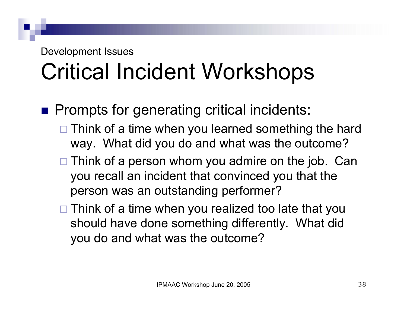- **Prompts for generating critical incidents:** 
	- □ Think of a time when you learned something the hard way. What did you do and what was the outcome?
	- $\Box$  Think of a person whom you admire on the job. Can you recall an incident that convinced you that the person was an outstanding performer?
	- □ Think of a time when you realized too late that you should have done something differently. What did you do and what was the outcome?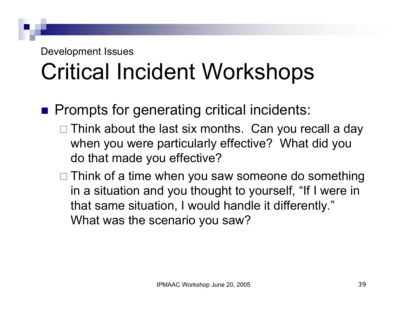- **Prompts for generating critical incidents:** 
	- □ Think about the last six months. Can you recall a day when you were particularly effective? What did you do that made you effective?
	- □ Think of a time when you saw someone do something in a situation and you thought to yourself, "If I were in that same situation, I would handle it differently." What was the scenario you saw?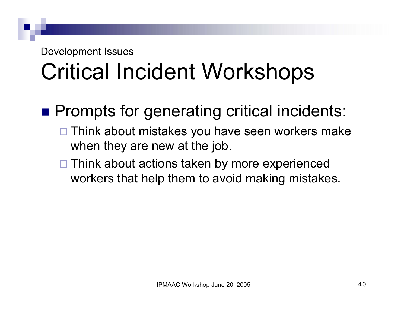- **Prompts for generating critical incidents:** 
	- □ Think about mistakes you have seen workers make when they are new at the job.
	- □ Think about actions taken by more experienced workers that help them to avoid making mistakes.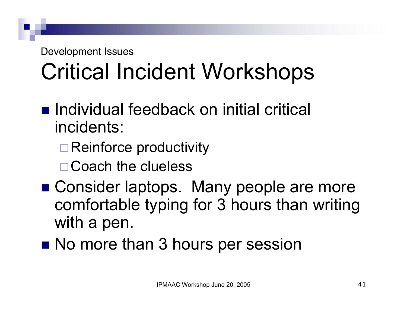- Individual feedback on initial critical incidents:
	- **□ Reinforce productivity**
	- □ Coach the clueless
- Consider laptops. Many people are more comfortable typing for 3 hours than writing with a pen.
- **No more than 3 hours per session**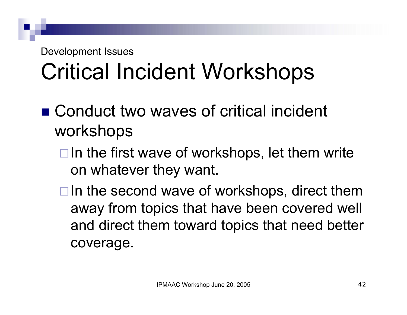- Conduct two waves of critical incident workshops
	- $\Box$  In the first wave of workshops, let them write on whatever they want.
	- $\Box$  In the second wave of workshops, direct them away from topics that have been covered well and direct them toward topics that need better coverage.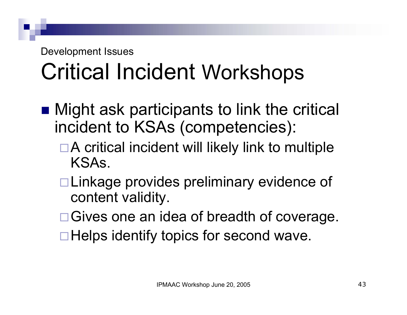- Might ask participants to link the critical incident to KSAs (competencies):
	- $\Box$  A critical incident will likely link to multiple KSAs.
	- □ Linkage provides preliminary evidence of content validity.
	- □ Gives one an idea of breadth of coverage.
	- $\Box$  Helps identify topics for second wave.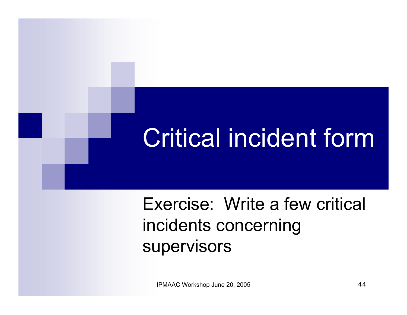# Critical incident form

Exercise: Write a few critical incidents concerning supervisors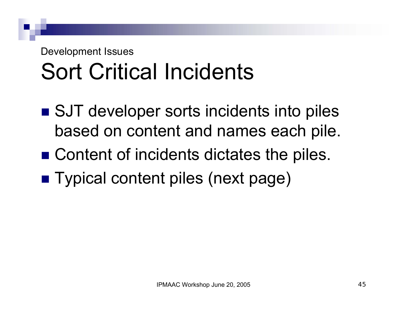# Sort Critical Incidents

- SJT developer sorts incidents into piles based on content and names each pile.
- Content of incidents dictates the piles.
- Typical content piles (next page)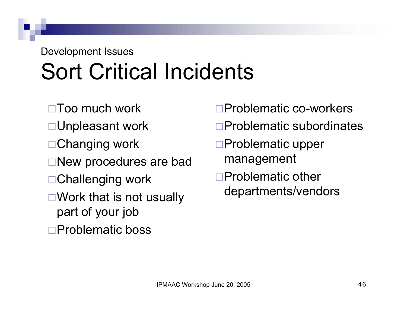# Sort Critical Incidents

Too much work

- Unpleasant work
- □ Changing work
- New procedures are bad
- Challenging work
- $\square$  Work that is not usually part of your job
- □Problematic boss

Problematic co-workers

- Problematic subordinates
- Problematic upper management
- Problematic other departments/vendors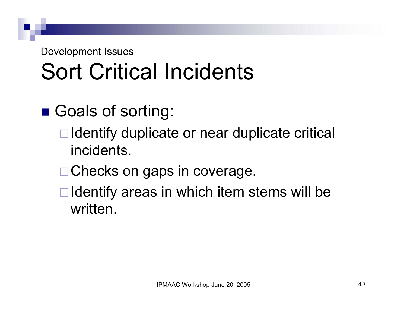# Sort Critical Incidents

- Goals of sorting:
	- $\Box$  Identify duplicate or near duplicate critical incidents.
	- □ Checks on gaps in coverage.
	- $\Box$  Identify areas in which item stems will be written.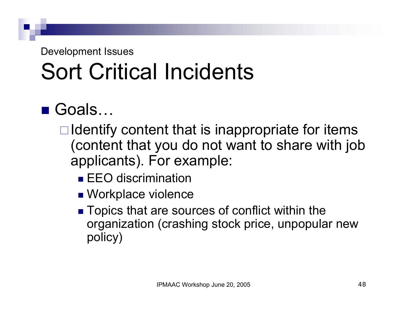# Sort Critical Incidents

### ■ Goals…

- $\Box$  Identify content that is inappropriate for items (content that you do not want to share with job applicants). For example:
	- **EEO** discrimination
	- **Norkplace violence**
	- Topics that are sources of conflict within the organization (crashing stock price, unpopular new policy)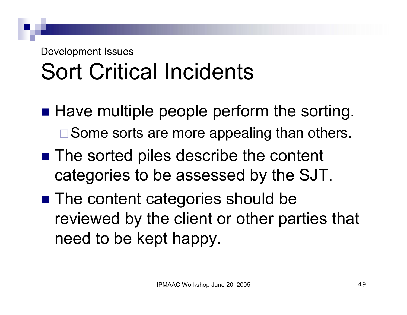# Sort Critical Incidents

- **Have multiple people perform the sorting.**  $\square$  Some sorts are more appealing than others.
- The sorted piles describe the content categories to be assessed by the SJT.
- The content categories should be reviewed by the client or other parties that need to be kept happy.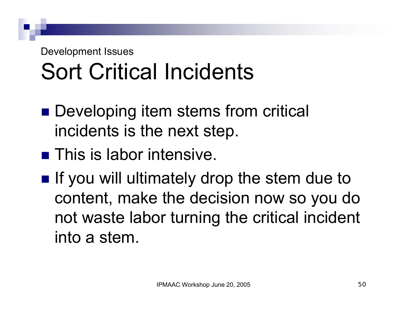## Sort Critical Incidents

- Developing item stems from critical incidents is the next step.
- **This is labor intensive.**
- **If you will ultimately drop the stem due to** content, make the decision now so you do not waste labor turning the critical incident into a stem.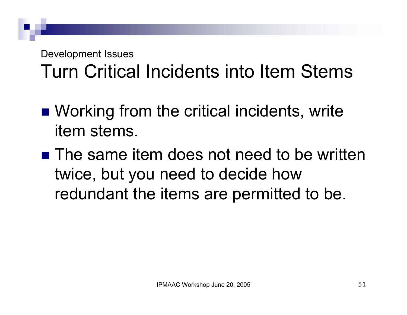## Turn Critical Incidents into Item Stems

- Working from the critical incidents, write item stems.
- The same item does not need to be written twice, but you need to decide how redundant the items are permitted to be.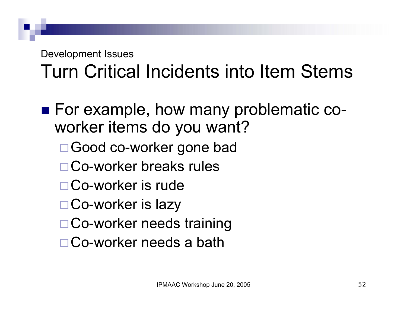## Turn Critical Incidents into Item Stems

■ For example, how many problematic coworker items do you want? □ Good co-worker gone bad Co-worker breaks rules Co-worker is rude□ Co-worker is lazy □ Co-worker needs training Co-worker needs a bath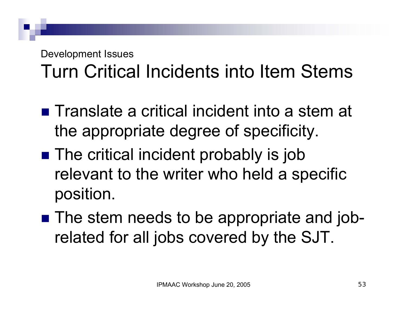### Development Issues Turn Critical Incidents into Item Stems

- $\blacksquare$  Translate a critical incident into a stem at the appropriate degree of specificity.
- $\blacksquare$  The critical incident probably is job relevant to the writer who held a specific position.
- The stem needs to be appropriate and jobrelated for all jobs covered by the SJT.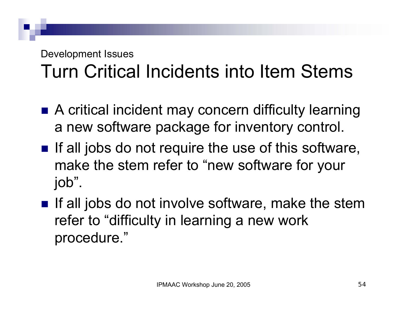### Development Issues Turn Critical Incidents into Item Stems

- A critical incident may concern difficulty learning a new software package for inventory control.
- $\blacksquare$  If all jobs do not require the use of this software, make the stem refer to "new software for your job".
- $\blacksquare$  If all jobs do not involve software, make the stem refer to "difficulty in learning a new work procedure."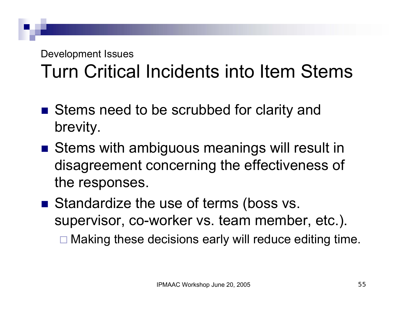## Turn Critical Incidents into Item Stems

- Stems need to be scrubbed for clarity and brevity.
- Stems with ambiguous meanings will result in disagreement concerning the effectiveness of the responses.
- Standardize the use of terms (boss vs. supervisor, co-worker vs. team member, etc.).
	- □ Making these decisions early will reduce editing time.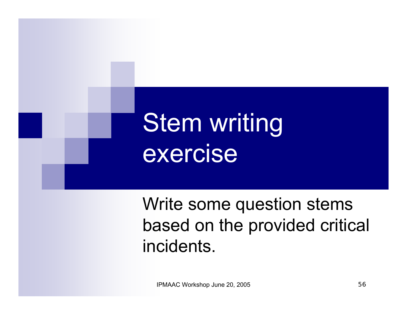# **Stem writing** exercise

Write some question stems based on the provided critical incidents.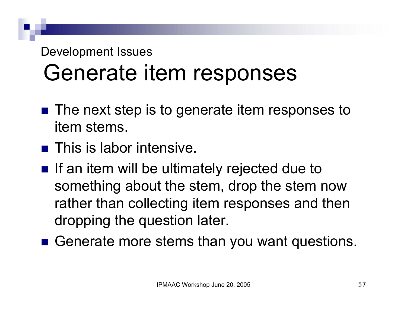- The next step is to generate item responses to item stems.
- **This is labor intensive.**
- $\blacksquare$  If an item will be ultimately rejected due to something about the stem, drop the stem now rather than collecting item responses and then dropping the question later.
- Generate more stems than you want questions.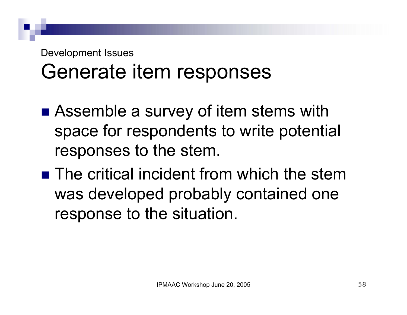- Assemble a survey of item stems with space for respondents to write potential responses to the stem.
- **The critical incident from which the stem** was developed probably contained one response to the situation.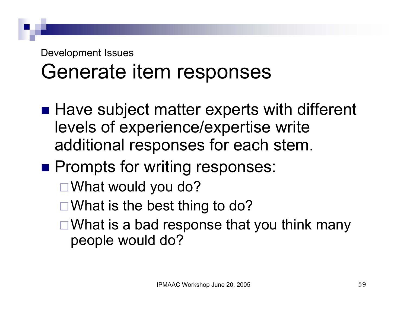- Have subject matter experts with different levels of experience/expertise write additional responses for each stem.
- **Prompts for writing responses:** 
	- □ What would you do?
	- $\Box$  What is the best thing to do?
	- $\Box$  What is a bad response that you think many people would do?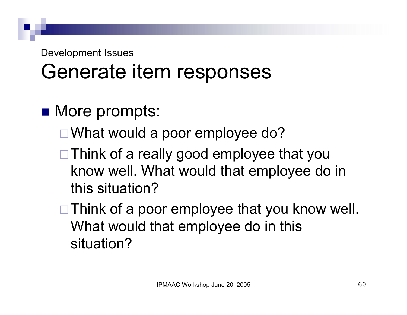- **Nore prompts:** 
	- □ What would a poor employee do?
	- □ Think of a really good employee that you know well. What would that employee do in this situation?
	- $\Box$  Think of a poor employee that you know well. What would that employee do in this situation?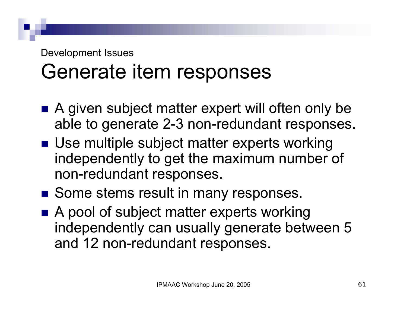- A given subject matter expert will often only be able to generate 2-3 non-redundant responses.
- Use multiple subject matter experts working independently to get the maximum number of non-redundant responses.
- Some stems result in many responses.
- A pool of subject matter experts working independently can usually generate between 5 and 12 non-redundant responses.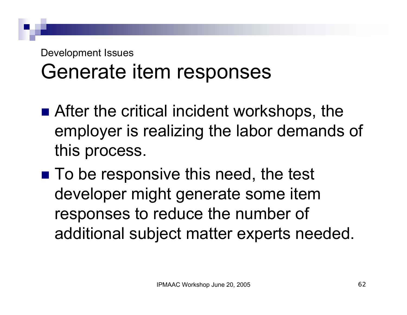- After the critical incident workshops, the employer is realizing the labor demands of this process.
- To be responsive this need, the test developer might generate some item responses to reduce the number of additional subject matter experts needed.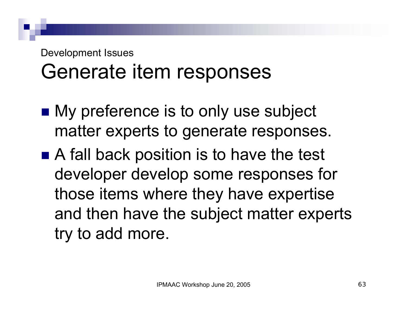- My preference is to only use subject matter experts to generate responses.
- A fall back position is to have the test developer develop some responses for those items where they have expertise and then have the subject matter experts try to add more.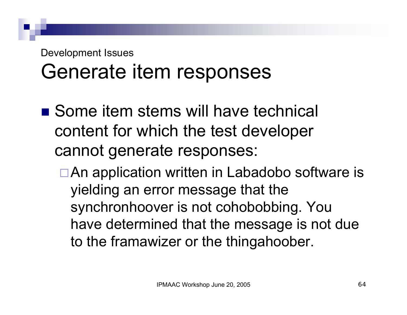- Some item stems will have technical content for which the test developer cannot generate responses:
	- □ An application written in Labadobo software is yielding an error message that the synchronhoover is not cohobobbing. You have determined that the message is not due to the framawizer or the thingahoober.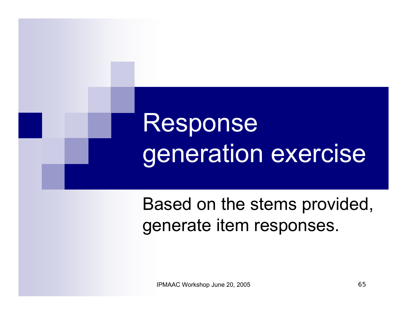# Response generation exercise

Based on the stems provided, generate item responses.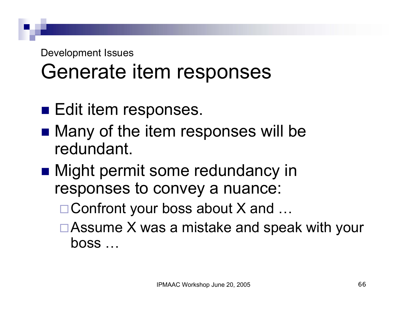- **Edit item responses.**
- Many of the item responses will be redundant.
- Might permit some redundancy in responses to convey a nuance:
	- $\Box$  Confront your boss about X and  $\ldots$
	- □ Assume X was a mistake and speak with your boss …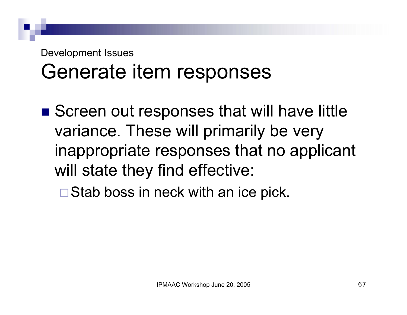## Generate item responses

■ Screen out responses that will have little variance. These will primarily be very inappropriate responses that no applicant will state they find effective:

 $\square$  Stab boss in neck with an ice pick.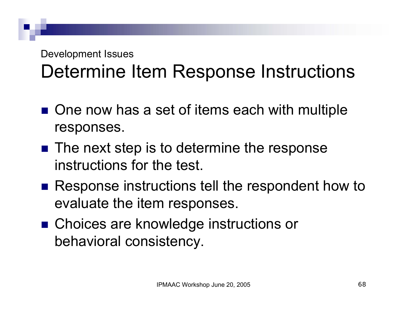## Determine Item Response Instructions

- One now has a set of items each with multiple responses.
- $\blacksquare$  The next step is to determine the response instructions for the test.
- Response instructions tell the respondent how to evaluate the item responses.
- Choices are knowledge instructions or behavioral consistency.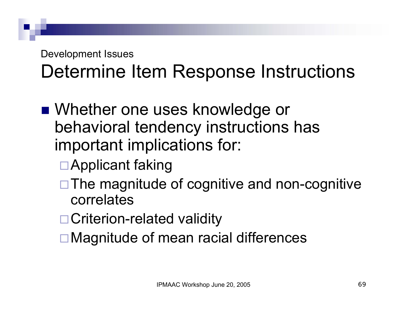## Determine Item Response Instructions

- Whether one uses knowledge or behavioral tendency instructions has important implications for:
	- Applicant faking
	- $\Box$  The magnitude of cognitive and non-cognitive correlates
	- □ Criterion-related validity
	- **□ Magnitude of mean racial differences**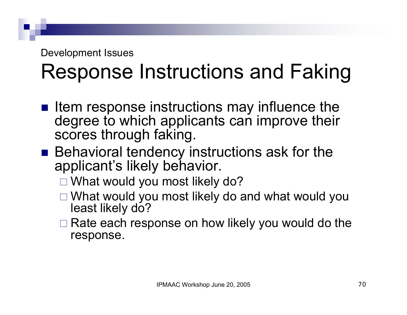## Response Instructions and Faking

- $\blacksquare$  Item response instructions may influence the degree to which applicants can improve their scores through faking.
- Behavioral tendency instructions ask for the applicant's likely behavior.
	- □ What would you most likely do?
	- What would you most likely do and what would you least likely do?
	- **□ Rate each response on how likely you would do the** response.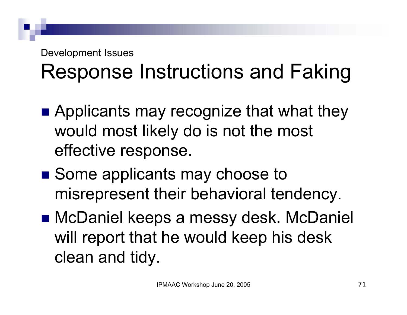## Response Instructions and Faking

- Applicants may recognize that what they would most likely do is not the most effective response.
- Some applicants may choose to misrepresent their behavioral tendency.
- McDaniel keeps a messy desk. McDaniel will report that he would keep his desk clean and tidy.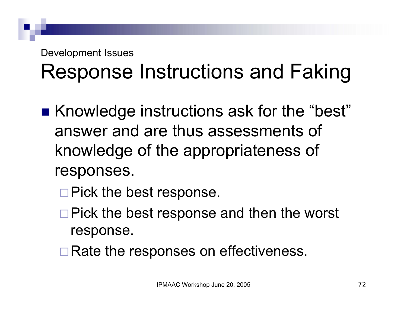## Response Instructions and Faking

- Knowledge instructions ask for the "best" answer and are thus assessments of knowledge of the appropriateness of responses.
	- $\Box$  Pick the best response.
	- $\Box$  Pick the best response and then the worst response.
	- $\Box$  Rate the responses on effectiveness.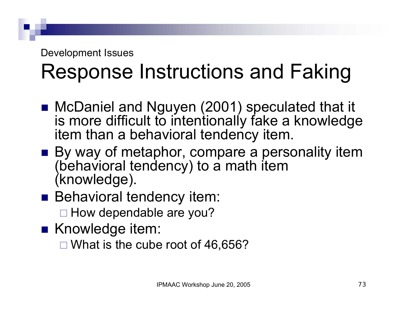### Response Instructions and Faking

- McDaniel and Nguyen (2001) speculated that it is more difficult to intentionally fake a knowledge item than a behavioral tendency item.
- By way of metaphor, compare a personality item (behavioral tendency) to a math item (knowledge).
- **Behavioral tendency item:** 
	- □ How dependable are you?
- Knowledge item:
	- $\Box$  What is the cube root of 46,656?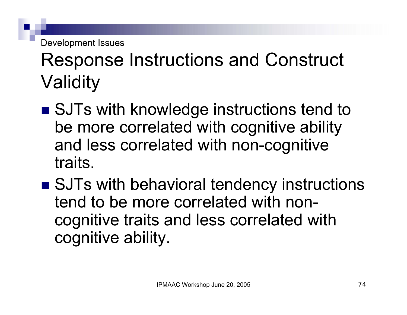### Response Instructions and Construct Validity

- SJTs with knowledge instructions tend to be more correlated with cognitive ability and less correlated with non-cognitive traits.
- SJTs with behavioral tendency instructions tend to be more correlated with noncognitive traits and less correlated with cognitive ability.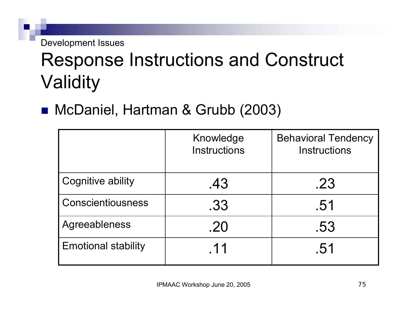### Response Instructions and Construct **Validity**

#### McDaniel, Hartman & Grubb (2003)

|                            | Knowledge<br><b>Instructions</b> | <b>Behavioral Tendency</b><br><b>Instructions</b> |
|----------------------------|----------------------------------|---------------------------------------------------|
| <b>Cognitive ability</b>   | .43                              | .23                                               |
| <b>Conscientiousness</b>   | .33                              | .51                                               |
| Agreeableness              | .20                              | .53                                               |
| <b>Emotional stability</b> | .11                              | .51                                               |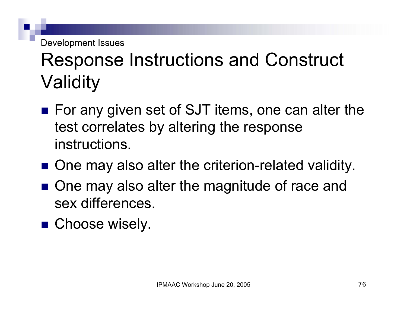### Response Instructions and Construct Validity

- For any given set of SJT items, one can alter the test correlates by altering the response instructions.
- One may also alter the criterion-related validity.
- One may also alter the magnitude of race and sex differences.
- **Choose wisely.**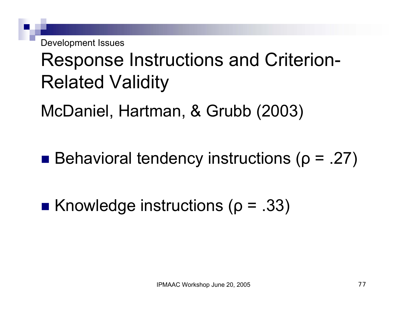#### Response Instructions and Criterion-Related Validity

McDaniel, Hartman, & Grubb (2003)

**Behavioral tendency instructions (** $\rho$  **= .27)** 

**K**nowledge instructions ( $\rho = .33$ )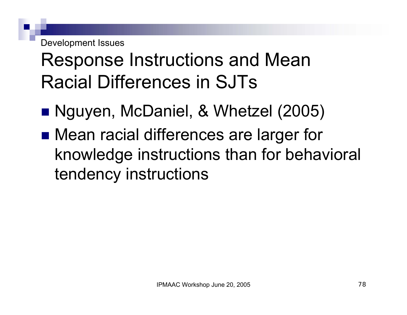Development Issues

### Response Instructions and Mean Racial Differences in SJTs

- Nguyen, McDaniel, & Whetzel (2005)
- Mean racial differences are larger for knowledge instructions than for behavioral tendency instructions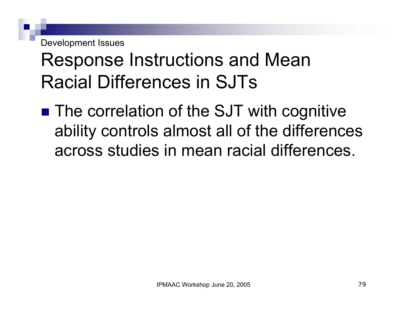Development Issues

### Response Instructions and Mean Racial Differences in SJTs

■ The correlation of the SJT with cognitive ability controls almost all of the differences across studies in mean racial differences.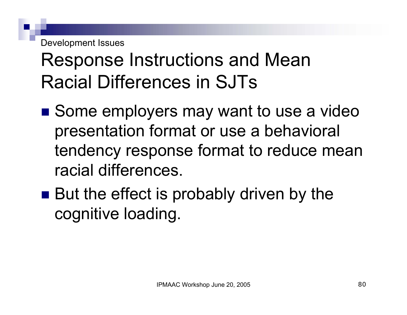Development Issues

### Response Instructions and Mean Racial Differences in SJTs

- Some employers may want to use a video presentation format or use a behavioral tendency response format to reduce mean racial differences.
- But the effect is probably driven by the cognitive loading.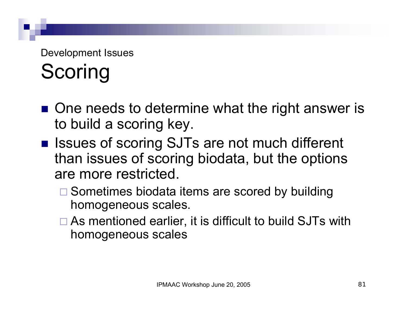#### Development Issues **Scoring**

- One needs to determine what the right answer is to build a scoring key.
- Issues of scoring SJTs are not much different than issues of scoring biodata, but the options are more restricted.
	- □ Sometimes biodata items are scored by building homogeneous scales.
	- □ As mentioned earlier, it is difficult to build SJTs with homogeneous scales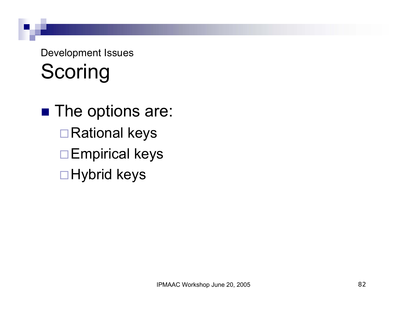#### Development Issues Scoring

 $\blacksquare$  The options are: □ Rational keys □ Empirical keys □ Hybrid keys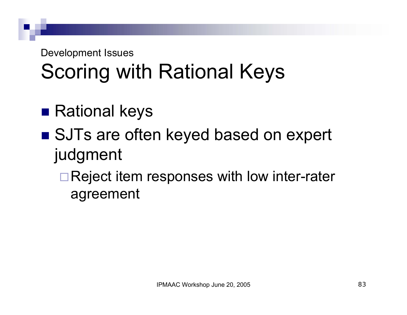### Scoring with Rational Keys

- $\blacksquare$  Rational keys
- SJTs are often keyed based on expert judgment
	- □ Reject item responses with low inter-rater agreement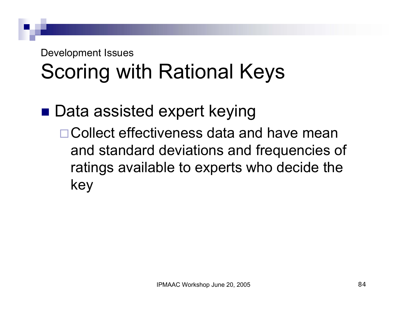## Scoring with Rational Keys

■ Data assisted expert keying □ Collect effectiveness data and have mean and standard deviations and frequencies of ratings available to experts who decide the key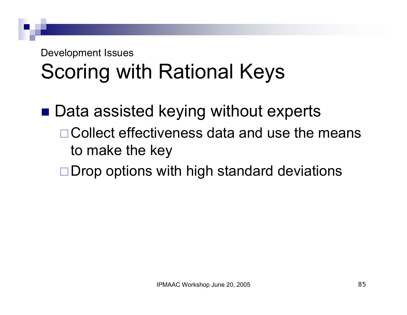## Scoring with Rational Keys

- $\blacksquare$  Data assisted keying without experts Collect effectiveness data and use the means to make the key
	- $\Box$  Drop options with high standard deviations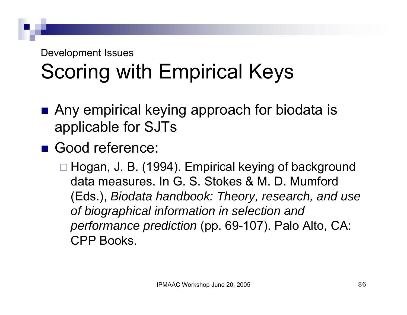## Scoring with Empirical Keys

- Any empirical keying approach for biodata is applicable for SJTs
- Good reference:

□ Hogan, J. B. (1994). Empirical keying of background data measures. In G. S. Stokes & M. D. Mumford (Eds.), *Biodata handbook: Theory, research, and use of biographical information in selection and performance prediction* (pp. 69-107). Palo Alto, CA: CPP Books.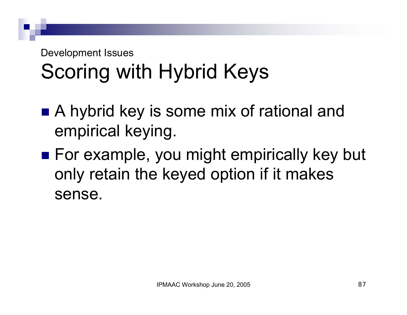## Scoring with Hybrid Keys

- A hybrid key is some mix of rational and empirical keying.
- For example, you might empirically key but only retain the keyed option if it makes sense.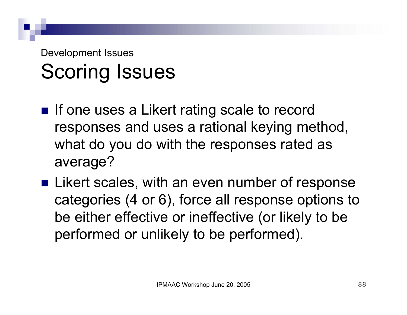- If one uses a Likert rating scale to record responses and uses a rational keying method, what do you do with the responses rated as average?
- **Example 2 I** Likert scales, with an even number of response categories (4 or 6), force all response options to be either effective or ineffective (or likely to be performed or unlikely to be performed).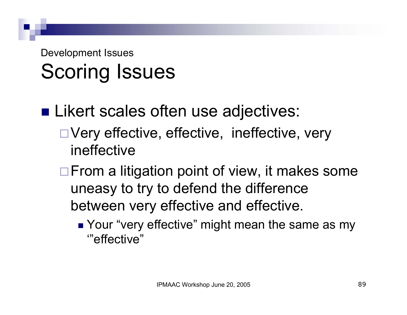- **ELikert scales often use adjectives:** 
	- □ Very effective, effective, ineffective, very ineffective
	- $\Box$  From a litigation point of view, it makes some uneasy to try to defend the difference between very effective and effective.
		- Your "very effective" might mean the same as my '"effective"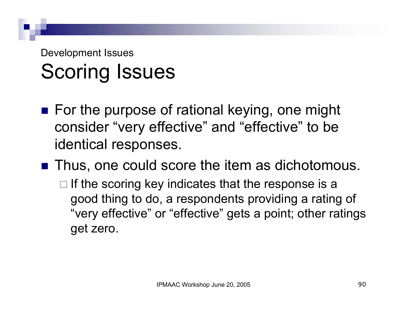■ For the purpose of rational keying, one might consider "very effective" and "effective" to be identical responses.

■ Thus, one could score the item as dichotomous.

 $\Box$  If the scoring key indicates that the response is a good thing to do, a respondents providing a rating of "very effective" or "effective" gets a point; other ratings get zero.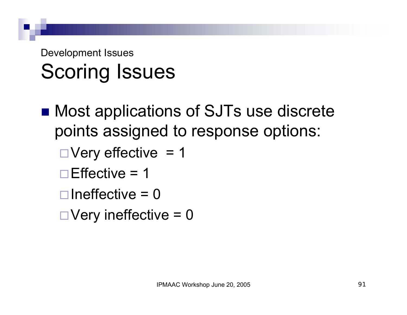- Most applications of SJTs use discrete points assigned to response options:
	- $\Box$  Very effective = 1
	- $\Box$  Effective = 1
	- $\Box$ Ineffective = 0
	- $\Box$  Very ineffective = 0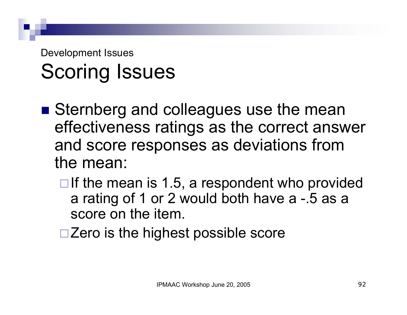- Sternberg and colleagues use the mean effectiveness ratings as the correct answer and score responses as deviations from the mean:
	- $\Box$  If the mean is 1.5, a respondent who provided a rating of 1 or 2 would both have a -.5 as a score on the item.
	- $\square$  Zero is the highest possible score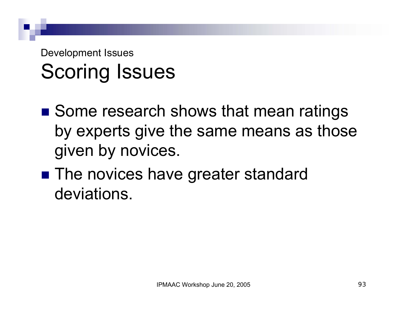- Some research shows that mean ratings by experts give the same means as those given by novices.
- The novices have greater standard deviations.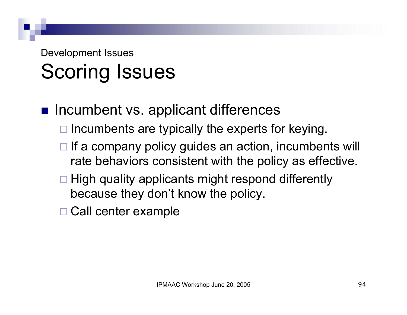- **n** Incumbent vs. applicant differences
	- $\Box$  Incumbents are typically the experts for keying.
	- $\Box$  If a company policy guides an action, incumbents will rate behaviors consistent with the policy as effective.
	- $\Box$  High quality applicants might respond differently because they don't know the policy.
	- □ Call center example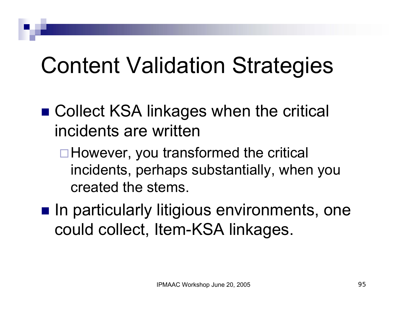## Content Validation Strategies

- Collect KSA linkages when the critical incidents are written
	- □ However, you transformed the critical incidents, perhaps substantially, when you created the stems.
- $\blacksquare$  In particularly litigious environments, one could collect, Item-KSA linkages.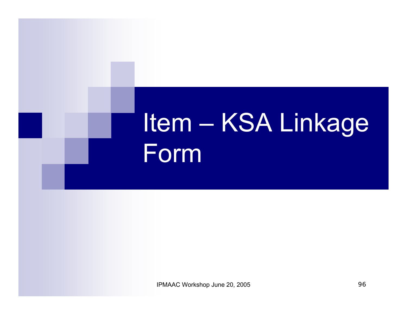# Item – KSA Linkage Form